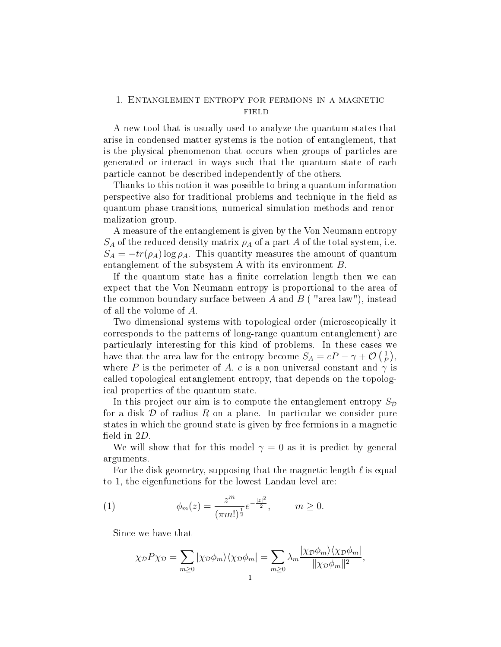## 1. Entanglement entropy for fermions in a magnetic field

A new tool that is usually used to analyze the quantum states that arise in condensed matter systems is the notion of entanglement, that is the physical phenomenon that occurs when groups of particles are generated or interact in ways such that the quantum state of each particle cannot be described independently of the others.

Thanks to this notion it was possible to bring a quantum information perspective also for traditional problems and technique in the field as quantum phase transitions, numerical simulation methods and renormalization group.

A measure of the entanglement is given by the Von Neumann entropy  $S_A$  of the reduced density matrix  $\rho_A$  of a part A of the total system, i.e.  $S_A = -tr(\rho_A) \log \rho_A$ . This quantity measures the amount of quantum entanglement of the subsystem A with its environment B.

If the quantum state has a finite correlation length then we can expect that the Von Neumann entropy is proportional to the area of the common boundary surface between A and  $B$  ("area law"), instead of all the volume of A.

Two dimensional systems with topological order (microscopically it corresponds to the patterns of long-range quantum entanglement) are particularly interesting for this kind of problems. In these cases we have that the area law for the entropy become  $S_A = cP - \gamma + \mathcal{O}\left(\frac{1}{P}\right)$  $\frac{1}{P}\Big),$ where P is the perimeter of A, c is a non universal constant and  $\gamma$  is called topological entanglement entropy, that depends on the topological properties of the quantum state.

In this project our aim is to compute the entanglement entropy  $S_{\mathcal{D}}$ for a disk  $\mathcal D$  of radius  $R$  on a plane. In particular we consider pure states in which the ground state is given by free fermions in a magnetic field in  $2D$ .

We will show that for this model  $\gamma = 0$  as it is predict by general arguments.

For the disk geometry, supposing that the magnetic length  $\ell$  is equal to 1, the eigenfunctions for the lowest Landau level are:

(1) 
$$
\phi_m(z) = \frac{z^m}{(\pi m!)^{\frac{1}{2}}} e^{-\frac{|z|^2}{2}}, \qquad m \ge 0.
$$

Since we have that

$$
\chi_{\mathcal{D}} P \chi_{\mathcal{D}} = \sum_{m \ge 0} |\chi_{\mathcal{D}} \phi_m\rangle \langle \chi_{\mathcal{D}} \phi_m| = \sum_{m \ge 0} \lambda_m \frac{|\chi_{\mathcal{D}} \phi_m\rangle \langle \chi_{\mathcal{D}} \phi_m|}{\|\chi_{\mathcal{D}} \phi_m\|^2},
$$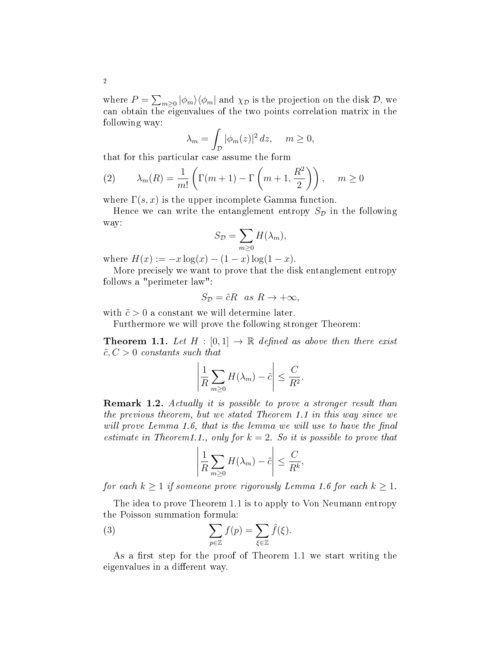where  $P = \sum_{m\geq 0} |\phi_m\rangle\langle\phi_m|$  and  $\chi_{\mathcal{D}}$  is the projection on the disk  $\mathcal{D}$ , we can obtain the eigenvalues of the two points correlation matrix in the following way:

$$
\lambda_m = \int_{\mathcal{D}} |\phi_m(z)|^2 \, dz, \quad m \ge 0,
$$

that for this particular case assume the form

(2) 
$$
\lambda_m(R) = \frac{1}{m!} \left( \Gamma(m+1) - \Gamma\left(m+1, \frac{R^2}{2}\right) \right), \quad m \ge 0
$$

where  $\Gamma(s, x)$  is the upper incomplete Gamma function.

Hence we can write the entanglement entropy  $S_{\mathcal{D}}$  in the following way:

$$
S_{\mathcal{D}} = \sum_{m \geq 0} H(\lambda_m),
$$

where  $H(x) := -x \log(x) - (1-x) \log(1-x)$ .

More precisely we want to prove that the disk entanglement entropy follows a "perimeter law":

$$
S_{\mathcal{D}} = \tilde{c}R \quad as \quad R \to +\infty,
$$

with  $\tilde{c} > 0$  a constant we will determine later.

Furthermore we will prove the following stronger Theorem:

**Theorem 1.1.** Let  $H : [0,1] \rightarrow \mathbb{R}$  defined as above then there exist  $\tilde{c}$ ,  $C > 0$  constants such that

$$
\left|\frac{1}{R}\sum_{m\geq 0}H(\lambda_m)-\tilde{c}\right|\leq \frac{C}{R^2}.
$$

**Remark 1.2.** Actually it is possible to prove a stronger result than the previous theorem, but we stated Theorem 1.1 in this way since we will prove Lemma 1.6, that is the lemma we will use to have the final estimate in Theorem1.1., only for  $k = 2$ . So it is possible to prove that

$$
\left|\frac{1}{R}\sum_{m\geq 0}H(\lambda_m)-\tilde{c}\right|\leq \frac{C}{R^k},\,
$$

for each  $k \geq 1$  if someone prove rigorously Lemma 1.6 for each  $k \geq 1$ .

The idea to prove Theorem 1.1 is to apply to Von Neumann entropy the Poisson summation formula:

(3) 
$$
\sum_{p\in\mathbb{Z}} f(p) = \sum_{\xi\in\mathbb{Z}} \hat{f}(\xi).
$$

As a first step for the proof of Theorem 1.1 we start writing the eigenvalues in a different way.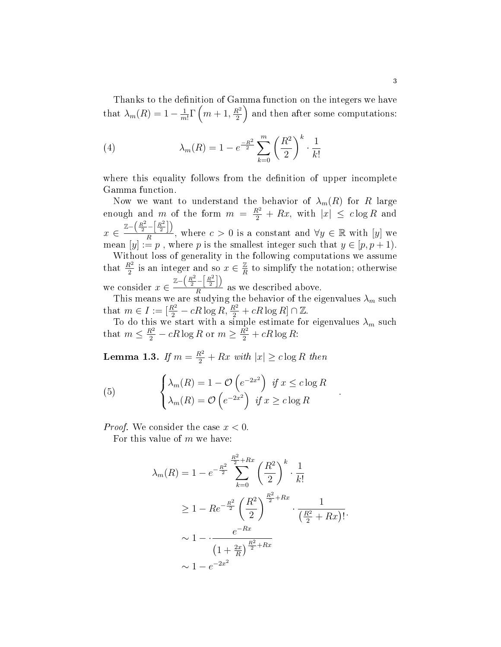Thanks to the definition of Gamma function on the integers we have that  $\lambda_m(R) = 1 - \frac{1}{m}$  $\frac{1}{m!}\Gamma\left(m+1,\frac{R^2}{2}\right)$  $\frac{\lambda^2}{2}$  and then after some computations:

(4) 
$$
\lambda_m(R) = 1 - e^{\frac{-R^2}{2}} \sum_{k=0}^m \left(\frac{R^2}{2}\right)^k \cdot \frac{1}{k!}
$$

where this equality follows from the definition of upper incomplete Gamma function.

Now we want to understand the behavior of  $\lambda_m(R)$  for R large enough and m of the form  $m = \frac{R^2}{2} + Rx$ , with  $|x| \leq c \log R$  and  $x \in \frac{\mathbb{Z}-\left(\frac{R^2}{2}-\left[\frac{R^2}{2}\right]\right)}{R}$  $\frac{(-\lfloor \frac{n}{2} \rfloor)}{R}$ , where  $c > 0$  is a constant and  $\forall y \in \mathbb{R}$  with  $[y]$  we mean  $[y] := p$ , where p is the smallest integer such that  $y \in [p, p + 1)$ . Without loss of generality in the following computations we assume that  $\frac{R^2}{2}$  is an integer and so  $x \in \frac{Z}{R}$  $\frac{\mathbb{Z}}{R}$  to simplify the notation; otherwise we consider  $x \in \frac{\mathbb{Z}-\left(\frac{R^2}{2}-\left[\frac{R^2}{2}\right]\right)}{R}$  $\frac{1}{R}$  as we described above.

This means we are studying the behavior of the eigenvalues  $\lambda_m$  such that  $m \in I := [\frac{R^2}{2} - cR \log R, \frac{R^2}{2} + cR \log R] \cap \mathbb{Z}$ .

To do this we start with a simple estimate for eigenvalues  $\lambda_m$  such that  $m \leq \frac{R^2}{2} - cR \log R$  or  $m \geq \frac{R^2}{2} + cR \log R$ :

.

**Lemma 1.3.** If  $m = \frac{R^2}{2} + Rx$  with  $|x| \geq c \log R$  then

(5) 
$$
\begin{cases} \lambda_m(R) = 1 - \mathcal{O}\left(e^{-2x^2}\right) & \text{if } x \leq c \log R\\ \lambda_m(R) = \mathcal{O}\left(e^{-2x^2}\right) & \text{if } x \geq c \log R \end{cases}
$$

*Proof.* We consider the case  $x < 0$ .

For this value of  $m$  we have:

$$
\lambda_m(R) = 1 - e^{-\frac{R^2}{2}} \sum_{k=0}^{\frac{R^2}{2} + Rx} \left(\frac{R^2}{2}\right)^k \cdot \frac{1}{k!}
$$
  
\n
$$
\geq 1 - Re^{-\frac{R^2}{2}} \left(\frac{R^2}{2}\right)^{\frac{R^2}{2} + Rx} \cdot \frac{1}{\left(\frac{R^2}{2} + Rx\right)!}.
$$
  
\n
$$
\sim 1 - \frac{e^{-Rx}}{\left(1 + \frac{2x}{R}\right)^{\frac{R^2}{2} + Rx}}
$$
  
\n
$$
\sim 1 - e^{-2x^2}
$$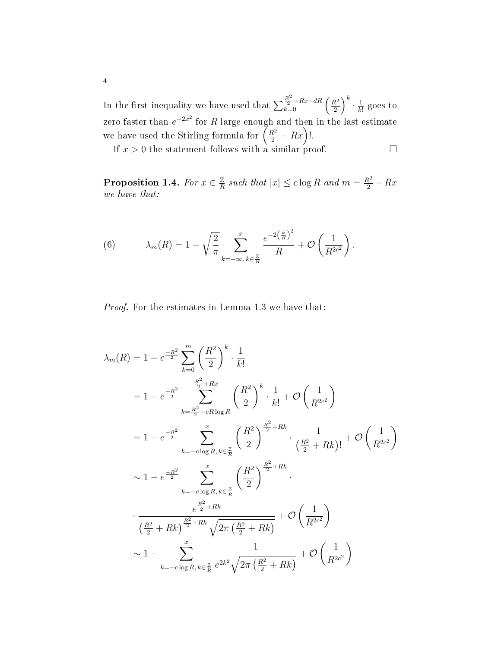In the first inequality we have used that  $\sum_{k=0}^{\frac{R^2}{2}+Rx-dR} \left(\frac{R^2}{2}\right)$  $\left(\frac{R^2}{2}\right)^k\cdot\frac{1}{k}$  $\frac{1}{k!}$  goes to zero faster than  $e^{-2x^2}$  for  $R$  large enough and then in the last estimate we have used the Stirling formula for  $\left(\frac{R^2}{2} - Rx\right)!$ .

If  $x > 0$  the statement follows with a similar proof.

Proposition 1.4. For  $x \in \frac{Z}{R}$  $\frac{\mathbb{Z}}{R}$  such that  $|x| \leq c \log R$  and  $m = \frac{R^2}{2} + Rx$ we have that:

(6) 
$$
\lambda_m(R) = 1 - \sqrt{\frac{2}{\pi}} \sum_{k=-\infty, k \in \frac{\mathbb{Z}}{R}}^{\infty} \frac{e^{-2(\frac{k}{R})^2}}{R} + \mathcal{O}\left(\frac{1}{R^{2c^2}}\right).
$$

Proof. For the estimates in Lemma 1.3 we have that:

$$
\lambda_{m}(R) = 1 - e^{\frac{-R^{2}}{2}} \sum_{k=0}^{m} \left(\frac{R^{2}}{2}\right)^{k} \cdot \frac{1}{k!}
$$
\n
$$
= 1 - e^{\frac{-R^{2}}{2}} \sum_{k=\frac{R^{2}}{2}-cR \log R}^{m} \left(\frac{R^{2}}{2}\right)^{k} \cdot \frac{1}{k!} + \mathcal{O}\left(\frac{1}{R^{2c^{2}}}\right)
$$
\n
$$
= 1 - e^{\frac{-R^{2}}{2}} \sum_{k=-c \log R, k \in \frac{\mathbb{Z}}{R}}^{m} \left(\frac{R^{2}}{2}\right)^{\frac{R^{2}}{2}+Rk} \cdot \frac{1}{\left(\frac{R^{2}}{2}+Rk\right)!} + \mathcal{O}\left(\frac{1}{R^{2c^{2}}}\right)
$$
\n
$$
\sim 1 - e^{\frac{-R^{2}}{2}} \sum_{k=-c \log R, k \in \frac{\mathbb{Z}}{R}}^{m} \left(\frac{R^{2}}{2}\right)^{\frac{R^{2}}{2}+Rk}
$$
\n
$$
\cdot \frac{e^{\frac{R^{2}}{2}+Rk}}{\left(\frac{R^{2}}{2}+Rk\right)^{\frac{R^{2}}{2}+Rk} \sqrt{2\pi\left(\frac{R^{2}}{2}+Rk\right)}} + \mathcal{O}\left(\frac{1}{R^{2c^{2}}}\right)
$$
\n
$$
\sim 1 - \sum_{k=-c \log R, k \in \frac{\mathbb{Z}}{R}}^{m} \frac{1}{e^{2k^{2}}\sqrt{2\pi\left(\frac{R^{2}}{2}+Rk\right)}} + \mathcal{O}\left(\frac{1}{R^{2c^{2}}}\right)
$$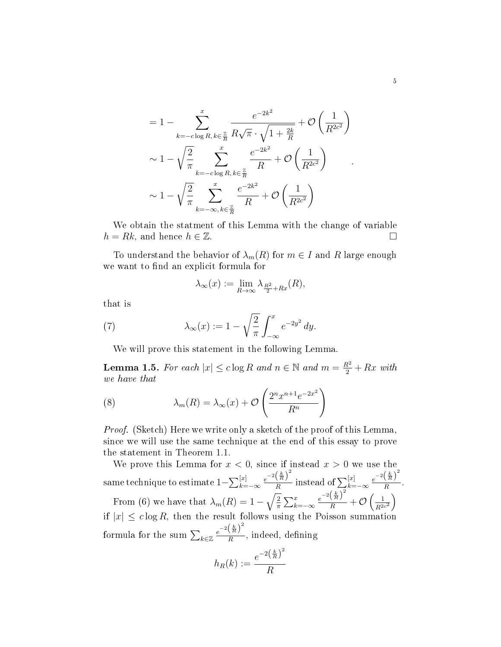$$
= 1 - \sum_{k=-c \log R, k \in \frac{\mathbb{Z}}{R}}^{\infty} \frac{e^{-2k^2}}{R\sqrt{\pi} \cdot \sqrt{1 + \frac{2k}{R}}} + \mathcal{O}\left(\frac{1}{R^{2c^2}}\right)
$$
  

$$
\sim 1 - \sqrt{\frac{2}{\pi}} \sum_{k=-c \log R, k \in \frac{\mathbb{Z}}{R}}^{\infty} \frac{e^{-2k^2}}{R} + \mathcal{O}\left(\frac{1}{R^{2c^2}}\right)
$$
  

$$
\sim 1 - \sqrt{\frac{2}{\pi}} \sum_{k=-\infty, k \in \frac{\mathbb{Z}}{R}}^{\infty} \frac{e^{-2k^2}}{R} + \mathcal{O}\left(\frac{1}{R^{2c^2}}\right)
$$

We obtain the statment of this Lemma with the change of variable  $h = Rk$ , and hence  $h \in \mathbb{Z}$ .

To understand the behavior of  $\lambda_m(R)$  for  $m \in I$  and R large enough we want to find an explicit formula for

$$
\lambda_{\infty}(x) := \lim_{R \to \infty} \lambda_{\frac{R^2}{2} + Rx}(R),
$$

that is

(7) 
$$
\lambda_{\infty}(x) := 1 - \sqrt{\frac{2}{\pi}} \int_{-\infty}^{x} e^{-2y^2} dy.
$$

We will prove this statement in the following Lemma.

**Lemma 1.5.** For each  $|x| \leq c \log R$  and  $n \in \mathbb{N}$  and  $m = \frac{R^2}{2} + Rx$  with we have that

(8) 
$$
\lambda_m(R) = \lambda_{\infty}(x) + \mathcal{O}\left(\frac{2^n x^{n+1} e^{-2x^2}}{R^n}\right)
$$

*Proof.* (Sketch) Here we write only a sketch of the proof of this Lemma, since we will use the same technique at the end of this essay to prove the statement in Theorem 1.1.

We prove this Lemma for  $x < 0$ , since if instead  $x > 0$  we use the same technique to estimate  $1-\sum_{k=-\infty}^{[x]} \frac{e^{-2\left(\frac{k}{R}\right)^2}}{R}$  $\frac{\left(\frac{k}{R}\right)^2}{R}$  instead of  $\sum_{k=-\infty}^{[x]} \frac{e^{-2\left(\frac{k}{R}\right)^2}}{R}$  $\frac{\binom{R}{k}}{R}$ . From (6) we have that  $\lambda_m(R) = 1 - \sqrt{\frac{2}{\pi}}$  $\frac{2}{\pi}\sum_{k=-\infty}^x$  $e^{-2\left(\frac{k}{R}\right)^2}$  $\frac{\left(\frac{\kappa}{R}\right)}{R}+\mathcal{O}\left(\frac{1}{R^{2c^2}}\right)$  $\setminus$ if  $|x| \leq c \log R$ , then the result follows using the Poisson summation formula for the sum  $\sum_{k \in \mathbb{Z}} \frac{e^{-2\left(\frac{k}{R}\right)^2}}{R}$  $\frac{\binom{n}{h}}{R}$ , indeed, defining

$$
h_R(k) := \frac{e^{-2\left(\frac{k}{R}\right)^2}}{R}
$$

.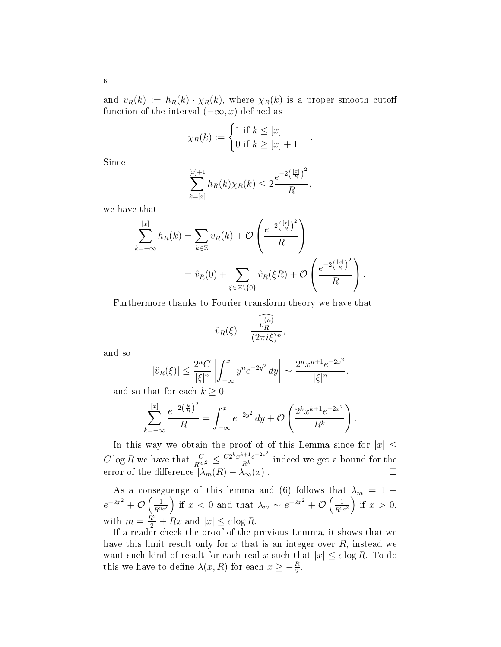and  $v_R(k) := h_R(k) \cdot \chi_R(k)$ , where  $\chi_R(k)$  is a proper smooth cutoff function of the interval  $(-\infty, x)$  defined as

$$
\chi_R(k) := \begin{cases} 1 \text{ if } k \leq [x] \\ 0 \text{ if } k \geq [x] + 1 \end{cases}.
$$

Since

$$
\sum_{k=[x]}^{[x]+1} h_R(k)\chi_R(k) \le 2\frac{e^{-2\left(\frac{[x]}{R}\right)^2}}{R},
$$

we have that

$$
\sum_{k=-\infty}^{[x]} h_R(k) = \sum_{k \in \mathbb{Z}} v_R(k) + \mathcal{O}\left(\frac{e^{-2\left(\frac{[x]}{R}\right)^2}}{R}\right)
$$
  
=  $\hat{v}_R(0) + \sum_{\xi \in \mathbb{Z} \setminus \{0\}} \hat{v}_R(\xi R) + \mathcal{O}\left(\frac{e^{-2\left(\frac{[x]}{R}\right)^2}}{R}\right).$ 

Furthermore thanks to Fourier transform theory we have that

$$
\hat{v}_R(\xi) = \frac{\widehat{v_R^{(n)}}}{(2\pi i \xi)^n},
$$

and so

$$
|\hat{v}_R(\xi)| \le \frac{2^n C}{|\xi|^n} \left| \int_{-\infty}^x y^n e^{-2y^2} \, dy \right| \sim \frac{2^n x^{n+1} e^{-2x^2}}{|\xi|^n}.
$$

and so that for each  $k\geq 0$ 

$$
\sum_{k=-\infty}^{[x]} \frac{e^{-2(\frac{k}{R})^2}}{R} = \int_{-\infty}^{x} e^{-2y^2} dy + \mathcal{O}\left(\frac{2^k x^{k+1} e^{-2x^2}}{R^k}\right).
$$

In this way we obtain the proof of of this Lemma since for  $|x| \leq$  $C \log R$  we have that  $\frac{C}{R^{2c^2}} \leq \frac{C2^k x^{k+1} e^{-2x^2}}{R^k}$  indeed we get a bound for the error of the difference  $|\lambda_m(R) - \lambda_\infty(x)|$ .

As a conseguenge of this lemma and (6) follows that  $\lambda_m\,=\,1\,-\,$  $e^{-2x^2} + \mathcal{O}\left(\frac{1}{R^{2c^2}}\right)$ if  $x < 0$  and that  $\lambda_m \sim e^{-2x^2} + \mathcal{O}\left(\frac{1}{R^{2c^2}}\right)$ ) if  $x > 0$ , with  $m = \frac{R^2}{2} + Rx$  and  $|x| \leq c \log R$ .

If a reader check the proof of the previous Lemma, it shows that we have this limit result only for x that is an integer over  $R$ , instead we want such kind of result for each real x such that  $|x| \leq c \log R$ . To do this we have to define  $\lambda(x, R)$  for each  $x \geq -\frac{R}{2}$ .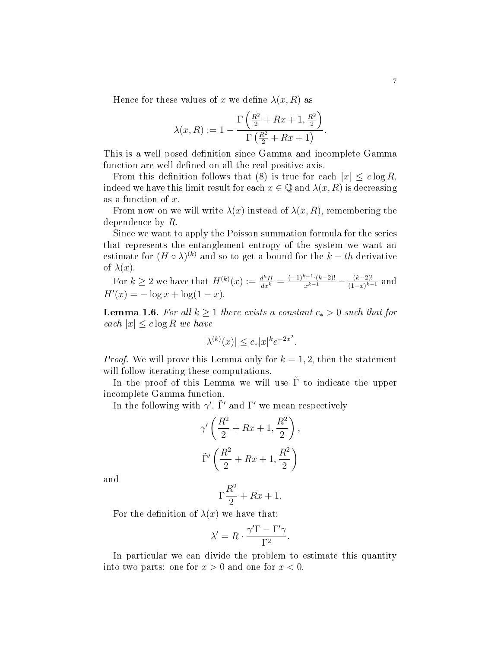Hence for these values of x we define  $\lambda(x,R)$  as

$$
\lambda(x,R) := 1 - \frac{\Gamma\left(\frac{R^2}{2} + Rx + 1, \frac{R^2}{2}\right)}{\Gamma\left(\frac{R^2}{2} + Rx + 1\right)}.
$$

This is a well posed definition since Gamma and incomplete Gamma function are well defined on all the real positive axis.

From this definition follows that (8) is true for each  $|x| \leq c \log R$ , indeed we have this limit result for each  $x \in \mathbb{Q}$  and  $\lambda(x, R)$  is decreasing as a function of x.

From now on we will write  $\lambda(x)$  instead of  $\lambda(x, R)$ , remembering the dependence by R.

Since we want to apply the Poisson summation formula for the series that represents the entanglement entropy of the system we want an estimate for  $(H \circ \lambda)^{(k)}$  and so to get a bound for the  $k-th$  derivative of  $\lambda(x)$ .

For 
$$
k \ge 2
$$
 we have that  $H^{(k)}(x) := \frac{d^k H}{dx^k} = \frac{(-1)^{k-1} \cdot (k-2)!}{x^{k-1}} - \frac{(k-2)!}{(1-x)^{k-1}}$  and  $H'(x) = -\log x + \log(1-x)$ .

**Lemma 1.6.** For all  $k \geq 1$  there exists a constant  $c_* > 0$  such that for each  $|x| \leq c \log R$  we have

$$
|\lambda^{(k)}(x)| \le c_* |x|^k e^{-2x^2}.
$$

*Proof.* We will prove this Lemma only for  $k = 1, 2$ , then the statement will follow iterating these computations.

In the proof of this Lemma we will use  $\tilde{\Gamma}$  to indicate the upper incomplete Gamma function.

In the following with  $\gamma'$ ,  $\tilde{\Gamma}'$  and  $\Gamma'$  we mean respectively

$$
\gamma' \left( \frac{R^2}{2} + Rx + 1, \frac{R^2}{2} \right),
$$
  

$$
\tilde{\Gamma}' \left( \frac{R^2}{2} + Rx + 1, \frac{R^2}{2} \right)
$$

and

$$
\Gamma \frac{R^2}{2} + Rx + 1.
$$

For the definition of  $\lambda(x)$  we have that:

$$
\lambda' = R \cdot \frac{\gamma' \Gamma - \Gamma' \gamma}{\Gamma^2}
$$

.

In particular we can divide the problem to estimate this quantity into two parts: one for  $x > 0$  and one for  $x < 0$ .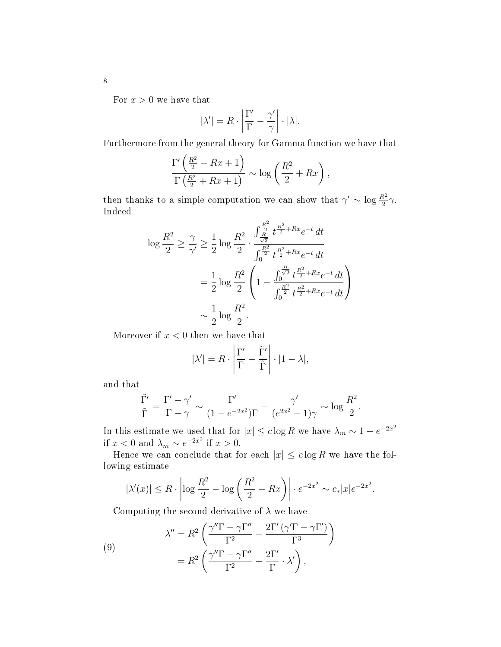For  $x > 0$  we have that

$$
|\lambda'| = R \cdot \left| \frac{\Gamma'}{\Gamma} - \frac{\gamma'}{\gamma} \right| \cdot |\lambda|.
$$

Furthermore from the general theory for Gamma function we have that

$$
\frac{\Gamma'\left(\frac{R^2}{2}+Rx+1\right)}{\Gamma\left(\frac{R^2}{2}+Rx+1\right)} \sim \log\left(\frac{R^2}{2}+Rx\right),\,
$$

then thanks to a simple computation we can show that  $\gamma' \sim \log \frac{R^2}{2} \gamma$ . Indeed

$$
\log \frac{R^2}{2} \ge \frac{\gamma}{\gamma'} \ge \frac{1}{2} \log \frac{R^2}{2} \cdot \frac{\int_{\frac{R}{\sqrt{2}}}^{\frac{R^2}{2}} t^{\frac{R^2}{2} + Rx} e^{-t} dt}{\int_{0}^{\frac{R^2}{2}} t^{\frac{R^2}{2} + Rx} e^{-t} dt}
$$

$$
= \frac{1}{2} \log \frac{R^2}{2} \left( 1 - \frac{\int_{0}^{\frac{R}{\sqrt{2}}} t^{\frac{R^2}{2} + Rx} e^{-t} dt}{\int_{0}^{\frac{R^2}{2}} t^{\frac{R^2}{2} + Rx} e^{-t} dt} \right)
$$

$$
\sim \frac{1}{2} \log \frac{R^2}{2}.
$$

Moreover if  $x < 0$  then we have that

$$
|\lambda'| = R \cdot \left| \frac{\Gamma'}{\Gamma} - \frac{\tilde{\Gamma}'}{\tilde{\Gamma}} \right| \cdot |1 - \lambda|,
$$

and that

$$
\frac{\tilde{\Gamma'}}{\tilde{\Gamma}} = \frac{\Gamma' - \gamma'}{\Gamma - \gamma} \sim \frac{\Gamma'}{(1 - e^{-2x^2})\Gamma} - \frac{\gamma'}{(e^{2x^2} - 1)\gamma} \sim \log \frac{R^2}{2}.
$$

In this estimate we used that for  $|x| \leq c \log R$  we have  $\lambda_m \sim 1 - e^{-2x^2}$ if  $x < 0$  and  $\lambda_m \sim e^{-2x^2}$  if  $x > 0$ .

Hence we can conclude that for each  $|x| \leq c \log R$  we have the following estimate

$$
|\lambda'(x)| \le R \cdot \left| \log \frac{R^2}{2} - \log \left( \frac{R^2}{2} + Rx \right) \right| \cdot e^{-2x^2} \sim c_* |x| e^{-2x^2}.
$$

Computing the second derivative of  $\lambda$  we have

(9)  

$$
\lambda'' = R^2 \left( \frac{\gamma'' \Gamma - \gamma \Gamma''}{\Gamma^2} - \frac{2\Gamma' (\gamma' \Gamma - \gamma \Gamma')}{\Gamma^3} \right)
$$

$$
= R^2 \left( \frac{\gamma'' \Gamma - \gamma \Gamma''}{\Gamma^2} - \frac{2\Gamma'}{\Gamma} \cdot \lambda' \right),
$$

8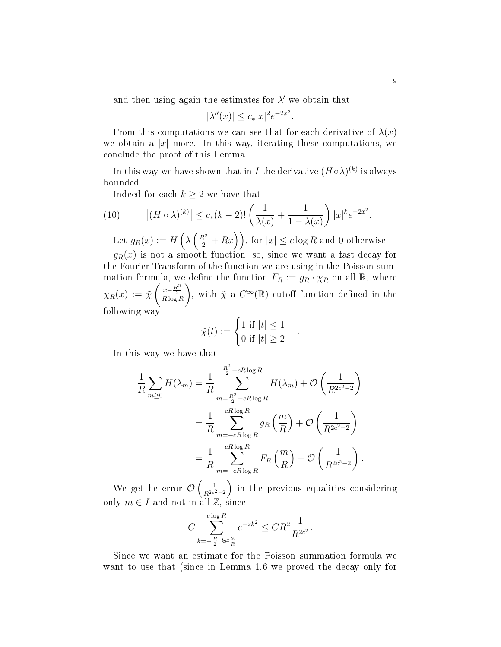and then using again the estimates for  $\lambda'$  we obtain that

$$
|\lambda''(x)| \le c_* |x|^2 e^{-2x^2}
$$

.

.

From this computations we can see that for each derivative of  $\lambda(x)$ we obtain a  $|x|$  more. In this way, iterating these computations, we conclude the proof of this Lemma.

In this way we have shown that in I the derivative  $(H \circ \lambda)^{(k)}$  is always bounded.

Indeed for each  $k \geq 2$  we have that

(10) 
$$
|(H \circ \lambda)^{(k)}| \le c_*(k-2)! \left(\frac{1}{\lambda(x)} + \frac{1}{1-\lambda(x)}\right) |x|^k e^{-2x^2}.
$$

Let  $g_R(x) := H\left(\lambda\left(\frac{R^2}{2} + Rx\right)\right)$ , for  $|x| \leq c \log R$  and 0 otherwise.

 $g_R(x)$  is not a smooth function, so, since we want a fast decay for the Fourier Transform of the function we are using in the Poisson summation formula, we define the function  $F_R := g_R \cdot \chi_R$  on all  $\mathbb{R}$ , where  $\chi_R(x) := \tilde{\chi}$  $\left(\frac{x-\frac{R^2}{2}}{R\log R}\right)$  $\setminus$ , with  $\tilde{\chi}$  a  $C^{\infty}(\mathbb{R})$  cutoff function defined in the following way

$$
\tilde{\chi}(t) := \begin{cases} 1 \text{ if } |t| \le 1 \\ 0 \text{ if } |t| \ge 2 \end{cases}
$$

In this way we have that

$$
\frac{1}{R} \sum_{m\geq 0} H(\lambda_m) = \frac{1}{R} \sum_{m=\frac{R^2}{2}-cR\log R}^{\frac{R^2}{2}+cR\log R} H(\lambda_m) + \mathcal{O}\left(\frac{1}{R^{2c^2-2}}\right)
$$

$$
= \frac{1}{R} \sum_{m=-cR\log R}^{cR\log R} g_R\left(\frac{m}{R}\right) + \mathcal{O}\left(\frac{1}{R^{2c^2-2}}\right)
$$

$$
= \frac{1}{R} \sum_{m=-cR\log R}^{cR\log R} F_R\left(\frac{m}{R}\right) + \mathcal{O}\left(\frac{1}{R^{2c^2-2}}\right).
$$

We get he error  $\mathcal{O}\left(\frac{1}{R^{2c^2-2}}\right)$ ) in the previous equalities considering only  $m \in I$  and not in all  $\mathbb{Z}$ , since

$$
C\sum_{k=-\frac{R}{2},\,k\in\frac{\mathbb{Z}}{R}}^{c\log R}e^{-2k^2}\leq CR^2\frac{1}{R^{2c^2}}.
$$

Since we want an estimate for the Poisson summation formula we want to use that (since in Lemma 1.6 we proved the decay only for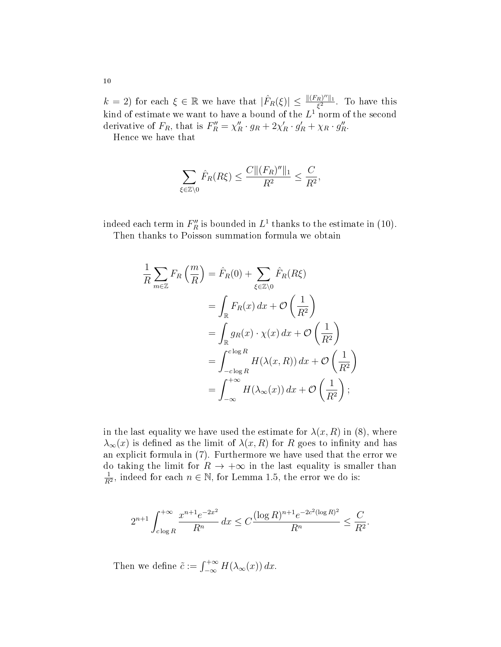$k = 2$ ) for each  $\xi \in \mathbb{R}$  we have that  $|\hat{F}_R(\xi)| \leq \frac{\| (F_R)^{\prime\prime} \|_1}{\xi^2}$  $\frac{R\theta}{\xi^2}$ . To have this kind of estimate we want to have a bound of the  $L^1$  norm of the second derivative of  $F_R$ , that is  $F_R'' = \chi_R'' \cdot g_R + 2\chi_R' \cdot g_R' + \chi_R \cdot g_R''$ .

Hence we have that

$$
\sum_{\xi \in \mathbb{Z}\setminus 0} \hat{F}_R(R\xi) \le \frac{C \|(F_R)''\|_1}{R^2} \le \frac{C}{R^2},
$$

indeed each term in  $F_R''$  is bounded in  $L^1$  thanks to the estimate in (10).

Then thanks to Poisson summation formula we obtain

$$
\frac{1}{R} \sum_{m \in \mathbb{Z}} F_R\left(\frac{m}{R}\right) = \hat{F}_R(0) + \sum_{\xi \in \mathbb{Z} \setminus 0} \hat{F}_R(R\xi)
$$
\n
$$
= \int_{\mathbb{R}} F_R(x) dx + \mathcal{O}\left(\frac{1}{R^2}\right)
$$
\n
$$
= \int_{\mathbb{R}} g_R(x) \cdot \chi(x) dx + \mathcal{O}\left(\frac{1}{R^2}\right)
$$
\n
$$
= \int_{-c \log R}^{c \log R} H(\lambda(x, R)) dx + \mathcal{O}\left(\frac{1}{R^2}\right)
$$
\n
$$
= \int_{-\infty}^{+\infty} H(\lambda_{\infty}(x)) dx + \mathcal{O}\left(\frac{1}{R^2}\right);
$$

in the last equality we have used the estimate for  $\lambda(x, R)$  in (8), where  $\lambda_{\infty}(x)$  is defined as the limit of  $\lambda(x, R)$  for R goes to infinity and has an explicit formula in (7). Furthermore we have used that the error we do taking the limit for  $R \to +\infty$  in the last equality is smaller than 1  $\frac{1}{R^2}$ , indeed for each  $n \in \mathbb{N}$ , for Lemma 1.5, the error we do is:

$$
2^{n+1} \int_{c \log R}^{+\infty} \frac{x^{n+1} e^{-2x^2}}{R^n} dx \le C \frac{(\log R)^{n+1} e^{-2c^2 (\log R)^2}}{R^n} \le \frac{C}{R^2}.
$$

Then we define  $\tilde{c} := \int_{-\infty}^{+\infty} H(\lambda_{\infty}(x)) dx$ .

10